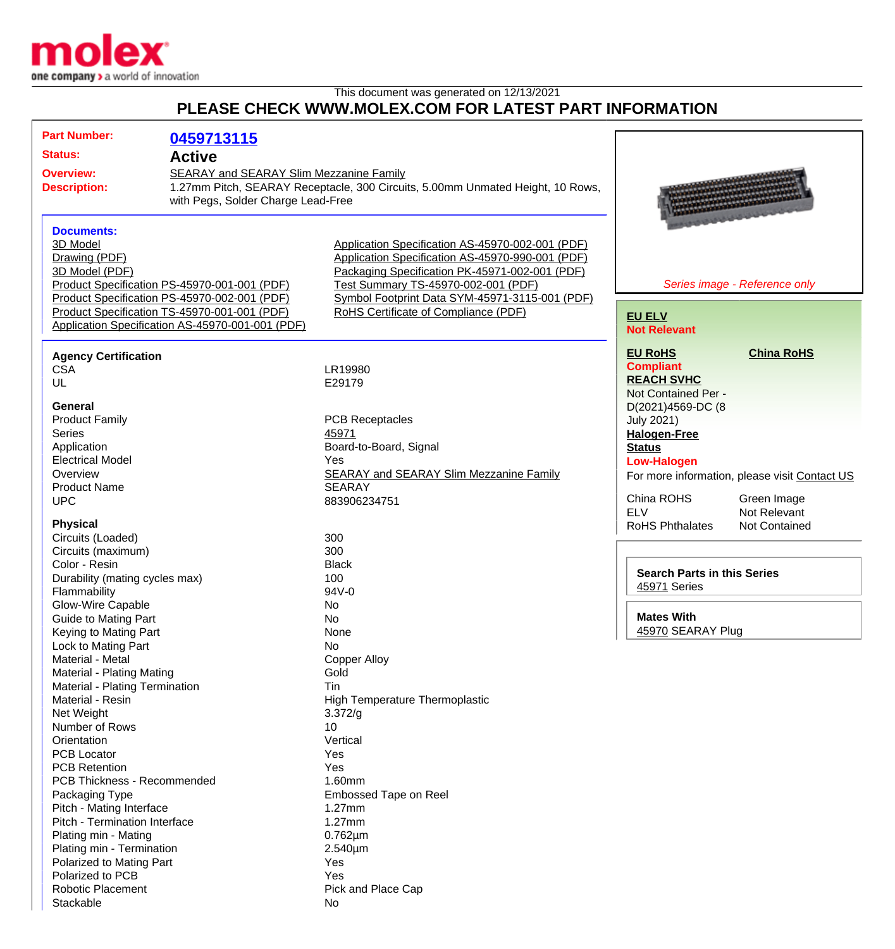

## This document was generated on 12/13/2021 **PLEASE CHECK WWW.MOLEX.COM FOR LATEST PART INFORMATION**

| <b>Part Number:</b>                                                                                                                           | 0459713115                                       |                                                                                        |                                               |
|-----------------------------------------------------------------------------------------------------------------------------------------------|--------------------------------------------------|----------------------------------------------------------------------------------------|-----------------------------------------------|
| <b>Status:</b>                                                                                                                                | <b>Active</b>                                    |                                                                                        |                                               |
|                                                                                                                                               |                                                  |                                                                                        |                                               |
| <b>Overview:</b><br>SEARAY and SEARAY Slim Mezzanine Family<br>1.27mm Pitch, SEARAY Receptacle, 300 Circuits, 5.00mm Unmated Height, 10 Rows, |                                                  |                                                                                        |                                               |
| <b>Description:</b><br>with Pegs, Solder Charge Lead-Free                                                                                     |                                                  |                                                                                        |                                               |
|                                                                                                                                               |                                                  |                                                                                        |                                               |
|                                                                                                                                               |                                                  |                                                                                        |                                               |
| <b>Documents:</b>                                                                                                                             |                                                  |                                                                                        |                                               |
| 3D Model                                                                                                                                      |                                                  | Application Specification AS-45970-002-001 (PDF)                                       |                                               |
| Drawing (PDF)                                                                                                                                 |                                                  | Application Specification AS-45970-990-001 (PDF)                                       |                                               |
| 3D Model (PDF)                                                                                                                                | Product Specification PS-45970-001-001 (PDF)     | Packaging Specification PK-45971-002-001 (PDF)<br>Test Summary TS-45970-002-001 (PDF)  |                                               |
|                                                                                                                                               | Product Specification PS-45970-002-001 (PDF)     |                                                                                        | Series image - Reference only                 |
|                                                                                                                                               | Product Specification TS-45970-001-001 (PDF)     | Symbol Footprint Data SYM-45971-3115-001 (PDF)<br>RoHS Certificate of Compliance (PDF) |                                               |
|                                                                                                                                               | Application Specification AS-45970-001-001 (PDF) |                                                                                        | <b>EU ELV</b>                                 |
|                                                                                                                                               |                                                  |                                                                                        | <b>Not Relevant</b>                           |
| <b>Agency Certification</b>                                                                                                                   |                                                  |                                                                                        | <b>China RoHS</b><br><b>EU RoHS</b>           |
| <b>CSA</b>                                                                                                                                    |                                                  | LR19980                                                                                | <b>Compliant</b>                              |
| UL                                                                                                                                            |                                                  | E29179                                                                                 | <b>REACH SVHC</b>                             |
|                                                                                                                                               |                                                  |                                                                                        | Not Contained Per -                           |
| <b>General</b>                                                                                                                                |                                                  |                                                                                        | D(2021)4569-DC (8                             |
| <b>Product Family</b>                                                                                                                         |                                                  | <b>PCB Receptacles</b>                                                                 | <b>July 2021)</b>                             |
| <b>Series</b>                                                                                                                                 |                                                  | 45971                                                                                  | <b>Halogen-Free</b>                           |
| Application                                                                                                                                   |                                                  | Board-to-Board, Signal                                                                 | <b>Status</b>                                 |
| <b>Electrical Model</b>                                                                                                                       |                                                  | Yes                                                                                    | <b>Low-Halogen</b>                            |
| Overview                                                                                                                                      |                                                  | <b>SEARAY and SEARAY Slim Mezzanine Family</b>                                         | For more information, please visit Contact US |
| <b>Product Name</b>                                                                                                                           |                                                  | <b>SEARAY</b>                                                                          |                                               |
| <b>UPC</b>                                                                                                                                    |                                                  | 883906234751                                                                           | China ROHS<br>Green Image                     |
|                                                                                                                                               |                                                  |                                                                                        | <b>ELV</b><br>Not Relevant                    |
| <b>Physical</b>                                                                                                                               |                                                  |                                                                                        | <b>RoHS Phthalates</b><br>Not Contained       |
| Circuits (Loaded)                                                                                                                             |                                                  | 300                                                                                    |                                               |
| Circuits (maximum)                                                                                                                            |                                                  | 300                                                                                    |                                               |
| Color - Resin                                                                                                                                 |                                                  | <b>Black</b>                                                                           | <b>Search Parts in this Series</b>            |
| Durability (mating cycles max)                                                                                                                |                                                  | 100                                                                                    | 45971 Series                                  |
| Flammability                                                                                                                                  |                                                  | 94V-0                                                                                  |                                               |
| <b>Glow-Wire Capable</b>                                                                                                                      |                                                  | No                                                                                     | <b>Mates With</b>                             |
| Guide to Mating Part                                                                                                                          |                                                  | No                                                                                     | 45970 SEARAY Plug                             |
| Keying to Mating Part                                                                                                                         |                                                  | None                                                                                   |                                               |
| Lock to Mating Part                                                                                                                           |                                                  | No.                                                                                    |                                               |
| Material - Metal                                                                                                                              |                                                  | <b>Copper Alloy</b>                                                                    |                                               |
| Material - Plating Mating                                                                                                                     |                                                  | Gold<br>Tin                                                                            |                                               |
| Material - Plating Termination<br>Material - Resin                                                                                            |                                                  | <b>High Temperature Thermoplastic</b>                                                  |                                               |
| Net Weight                                                                                                                                    |                                                  | 3.372/q                                                                                |                                               |
| Number of Rows                                                                                                                                |                                                  | 10                                                                                     |                                               |
| Orientation                                                                                                                                   |                                                  | Vertical                                                                               |                                               |
| <b>PCB Locator</b>                                                                                                                            |                                                  | Yes                                                                                    |                                               |
| <b>PCB Retention</b>                                                                                                                          |                                                  | Yes                                                                                    |                                               |
| <b>PCB Thickness - Recommended</b>                                                                                                            |                                                  | 1.60mm                                                                                 |                                               |
| Packaging Type                                                                                                                                |                                                  | Embossed Tape on Reel                                                                  |                                               |
| Pitch - Mating Interface                                                                                                                      |                                                  | 1.27mm                                                                                 |                                               |
| Pitch - Termination Interface                                                                                                                 |                                                  | $1.27$ mm                                                                              |                                               |
| Plating min - Mating                                                                                                                          |                                                  | $0.762 \mu m$                                                                          |                                               |
| Plating min - Termination                                                                                                                     |                                                  | 2.540µm                                                                                |                                               |
| Polarized to Mating Part                                                                                                                      |                                                  | Yes                                                                                    |                                               |
| Polarized to PCB                                                                                                                              |                                                  | Yes                                                                                    |                                               |
| <b>Robotic Placement</b>                                                                                                                      |                                                  | Pick and Place Cap                                                                     |                                               |
| Stackable                                                                                                                                     |                                                  | No                                                                                     |                                               |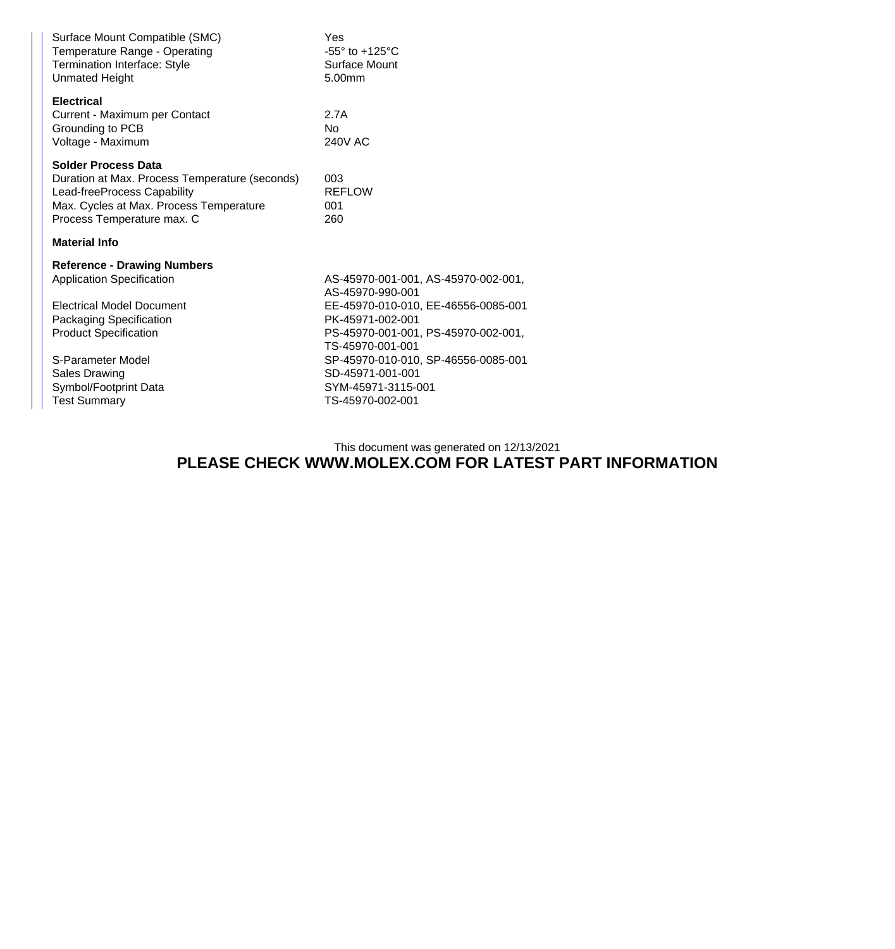| Surface Mount Compatible (SMC)<br>Temperature Range - Operating<br>Termination Interface: Style<br><b>Unmated Height</b>                                                             | Yes<br>$-55^\circ$ to $+125^\circ$ C<br>Surface Mount<br>5.00mm |  |  |  |
|--------------------------------------------------------------------------------------------------------------------------------------------------------------------------------------|-----------------------------------------------------------------|--|--|--|
| <b>Electrical</b><br>Current - Maximum per Contact<br>Grounding to PCB<br>Voltage - Maximum                                                                                          | 2.7A<br>N <sub>0</sub><br><b>240V AC</b>                        |  |  |  |
| <b>Solder Process Data</b><br>Duration at Max. Process Temperature (seconds)<br>Lead-freeProcess Capability<br>Max. Cycles at Max. Process Temperature<br>Process Temperature max. C | 003<br><b>REFLOW</b><br>001<br>260                              |  |  |  |
| <b>Material Info</b>                                                                                                                                                                 |                                                                 |  |  |  |
|                                                                                                                                                                                      |                                                                 |  |  |  |
| <b>Reference - Drawing Numbers</b>                                                                                                                                                   |                                                                 |  |  |  |
| <b>Application Specification</b>                                                                                                                                                     | AS-45970-001-001, AS-45970-002-001,<br>AS-45970-990-001         |  |  |  |
| <b>Electrical Model Document</b>                                                                                                                                                     | EE-45970-010-010, EE-46556-0085-001                             |  |  |  |
| <b>Packaging Specification</b>                                                                                                                                                       | PK-45971-002-001                                                |  |  |  |
| <b>Product Specification</b>                                                                                                                                                         | PS-45970-001-001, PS-45970-002-001,<br>TS-45970-001-001         |  |  |  |
| S-Parameter Model                                                                                                                                                                    | SP-45970-010-010, SP-46556-0085-001                             |  |  |  |
| <b>Sales Drawing</b>                                                                                                                                                                 | SD-45971-001-001                                                |  |  |  |
| Symbol/Footprint Data                                                                                                                                                                | SYM-45971-3115-001                                              |  |  |  |
| <b>Test Summary</b>                                                                                                                                                                  | TS-45970-002-001                                                |  |  |  |

This document was generated on 12/13/2021

## **PLEASE CHECK WWW.MOLEX.COM FOR LATEST PART INFORMATION**